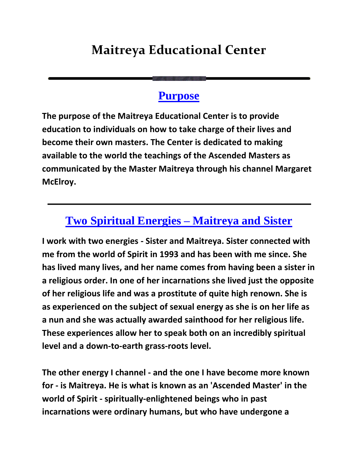## **Maitreya Educational Center**

## **[Purpose](http://www.maitreya-edu.org/)**

**The purpose of the Maitreya Educational Center is to provide education to individuals on how to take charge of their lives and become their own masters. The Center is dedicated to making available to the world the teachings of the Ascended Masters as communicated by the Master Maitreya through his channel Margaret McElroy.**

## **[Two Spiritual Energies –](http://www.maitreya-edu.org/channeling.php) Maitreya and Sister**

**I work with two energies - Sister and Maitreya. Sister connected with me from the world of Spirit in 1993 and has been with me since. She has lived many lives, and her name comes from having been a sister in a religious order. In one of her incarnations she lived just the opposite of her religious life and was a prostitute of quite high renown. She is as experienced on the subject of sexual energy as she is on her life as a nun and she was actually awarded sainthood for her religious life. These experiences allow her to speak both on an incredibly spiritual level and a down-to-earth grass-roots level.**

**The other energy I channel - and the one I have become more known for - is Maitreya. He is what is known as an 'Ascended Master' in the world of Spirit - spiritually-enlightened beings who in past incarnations were ordinary humans, but who have undergone a**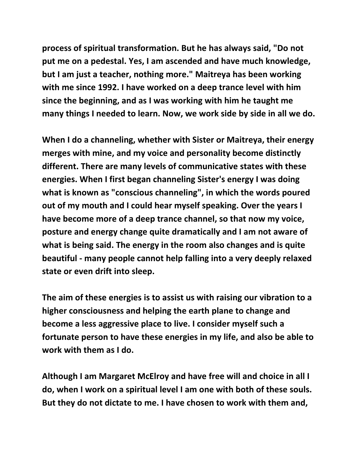**process of spiritual transformation. But he has always said, "Do not put me on a pedestal. Yes, I am ascended and have much knowledge, but I am just a teacher, nothing more." Maitreya has been working with me since 1992. I have worked on a deep trance level with him since the beginning, and as I was working with him he taught me many things I needed to learn. Now, we work side by side in all we do.**

**When I do a channeling, whether with Sister or Maitreya, their energy merges with mine, and my voice and personality become distinctly different. There are many levels of communicative states with these energies. When I first began channeling Sister's energy I was doing what is known as "conscious channeling", in which the words poured out of my mouth and I could hear myself speaking. Over the years I have become more of a deep trance channel, so that now my voice, posture and energy change quite dramatically and I am not aware of what is being said. The energy in the room also changes and is quite beautiful - many people cannot help falling into a very deeply relaxed state or even drift into sleep.**

**The aim of these energies is to assist us with raising our vibration to a higher consciousness and helping the earth plane to change and become a less aggressive place to live. I consider myself such a fortunate person to have these energies in my life, and also be able to work with them as I do.**

**Although I am Margaret McElroy and have free will and choice in all I do, when I work on a spiritual level I am one with both of these souls. But they do not dictate to me. I have chosen to work with them and,**